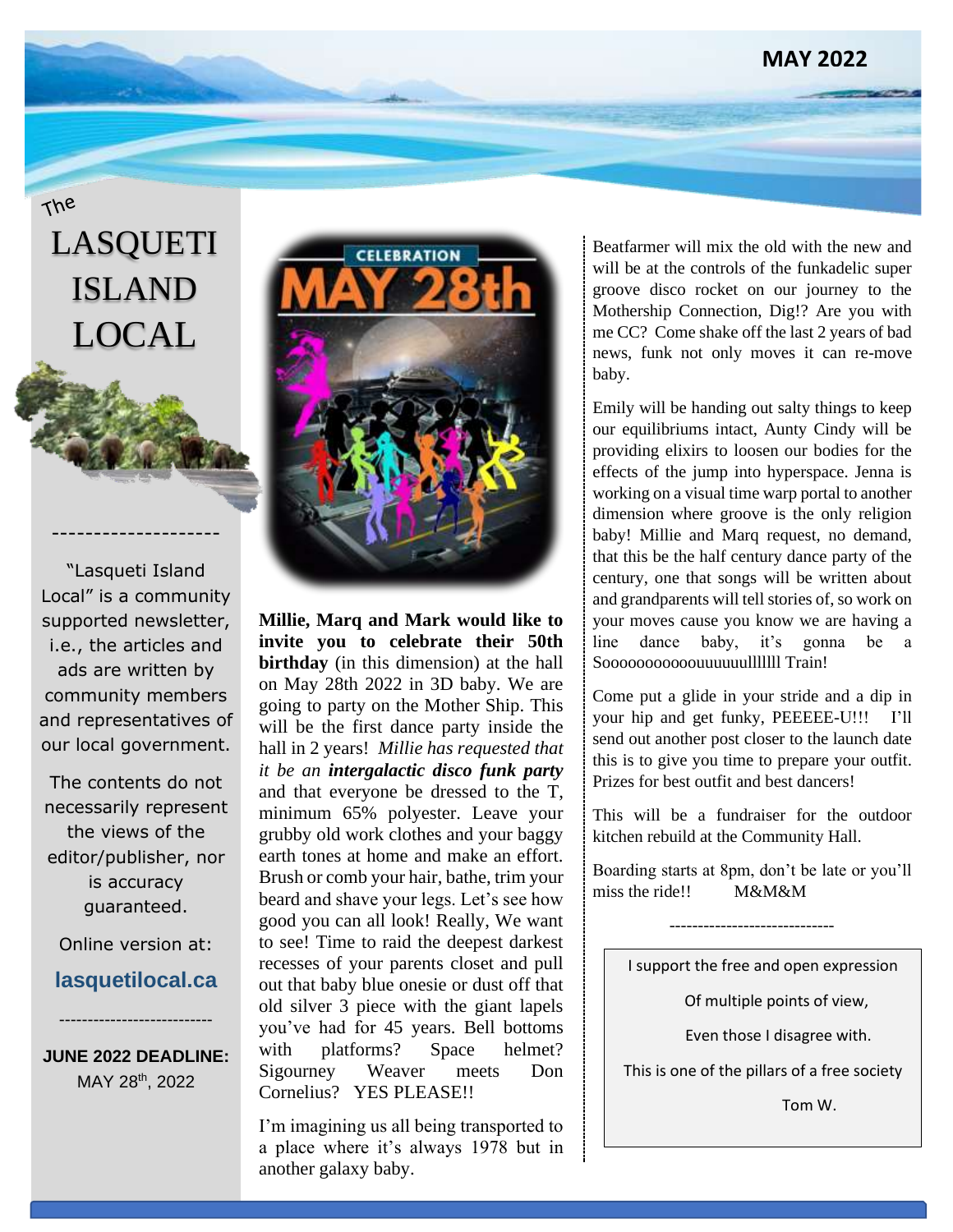## **MAY 2022**

# LASQUETI ISLAND LOCAL

The

"Lasqueti Island Local" is a community supported newsletter, i.e., the articles and ads are written by community members and representatives of our local government.

--------------------

The contents do not necessarily represent the views of the editor/publisher, nor is accuracy guaranteed.

Online version at:

# **lasquetilocal.ca**

---------------------------

**JUNE 2022 DEADLINE:** MAY 28th, 2022



**Millie, Marq and Mark would like to invite you to celebrate their 50th birthday** (in this dimension) at the hall on May 28th 2022 in 3D baby. We are going to party on the Mother Ship. This will be the first dance party inside the hall in 2 years! *Millie has requested that it be an intergalactic disco funk party* and that everyone be dressed to the T, minimum 65% polyester. Leave your grubby old work clothes and your baggy earth tones at home and make an effort. Brush or comb your hair, bathe, trim your beard and shave your legs. Let's see how good you can all look! Really, We want to see! Time to raid the deepest darkest recesses of your parents closet and pull out that baby blue onesie or dust off that old silver 3 piece with the giant lapels you've had for 45 years. Bell bottoms with platforms? Space helmet? Sigourney Weaver meets Don Cornelius? YES PLEASE!!

I'm imagining us all being transported to a place where it's always 1978 but in another galaxy baby.

Beatfarmer will mix the old with the new and will be at the controls of the funkadelic super groove disco rocket on our journey to the Mothership Connection, Dig!? Are you with me CC? Come shake off the last 2 years of bad news, funk not only moves it can re-move baby.

Emily will be handing out salty things to keep our equilibriums intact, Aunty Cindy will be providing elixirs to loosen our bodies for the effects of the jump into hyperspace. Jenna is working on a visual time warp portal to another dimension where groove is the only religion baby! Millie and Marq request, no demand, that this be the half century dance party of the century, one that songs will be written about and grandparents will tell stories of, so work on your moves cause you know we are having a line dance baby, it's gonna be a Sooooooooooouuuuuulllllll Train!

Come put a glide in your stride and a dip in your hip and get funky, PEEEEE-U!!! I'll send out another post closer to the launch date this is to give you time to prepare your outfit. Prizes for best outfit and best dancers!

This will be a fundraiser for the outdoor kitchen rebuild at the Community Hall.

Boarding starts at 8pm, don't be late or you'll miss the ride!! M&M&M

-----------------------------

I support the free and open expression

Of multiple points of view,

Even those I disagree with.

This is one of the pillars of a free society

Tom W.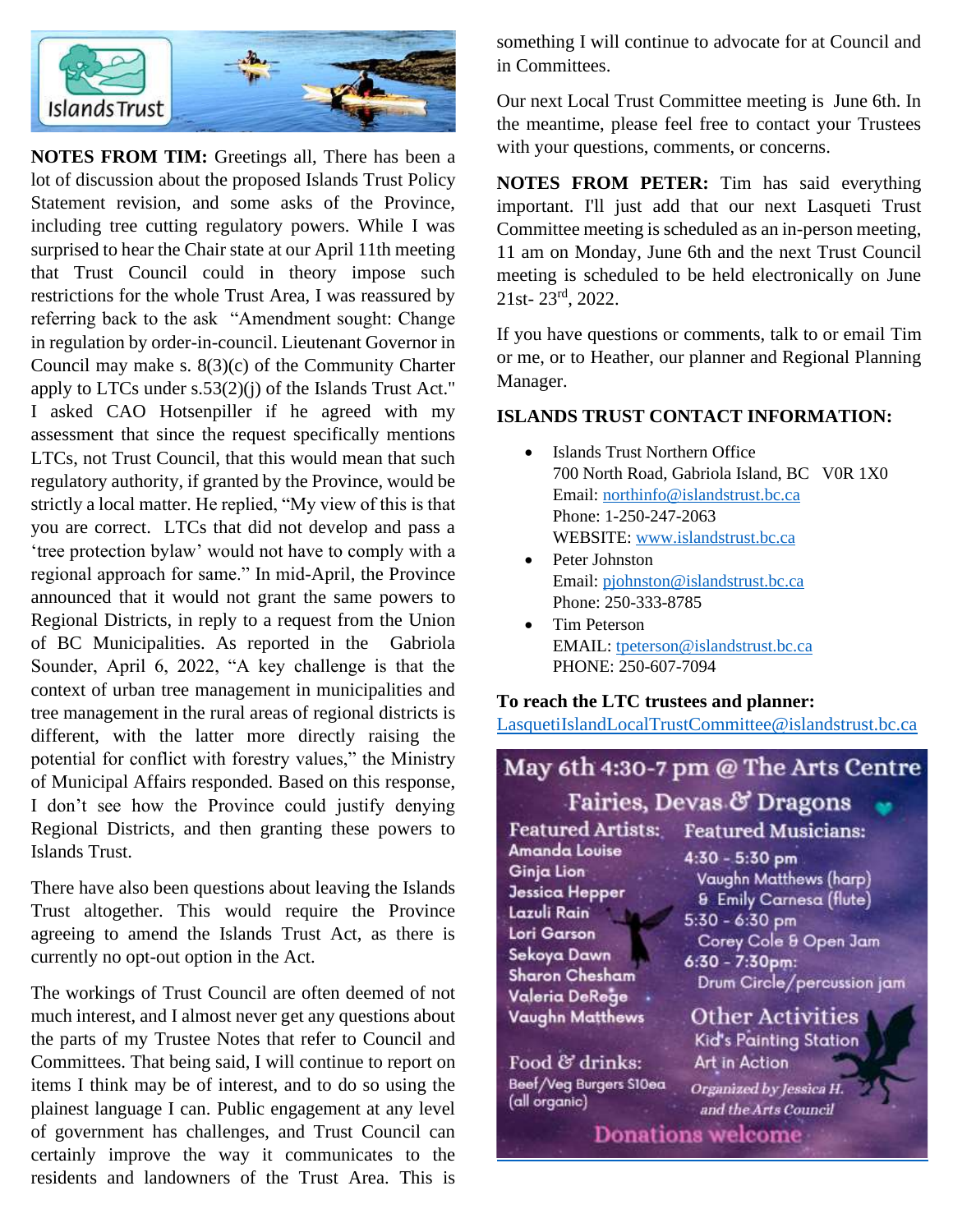

**NOTES FROM TIM:** Greetings all, There has been a lot of discussion about the proposed Islands Trust Policy Statement revision, and some asks of the Province, including tree cutting regulatory powers. While I was surprised to hear the Chair state at our April 11th meeting that Trust Council could in theory impose such restrictions for the whole Trust Area, I was reassured by referring back to the ask "Amendment sought: Change in regulation by order-in-council. Lieutenant Governor in Council may make s. 8(3)(c) of the Community Charter apply to LTCs under s.53(2)(j) of the Islands Trust Act." I asked CAO Hotsenpiller if he agreed with my assessment that since the request specifically mentions LTCs, not Trust Council, that this would mean that such regulatory authority, if granted by the Province, would be strictly a local matter. He replied, "My view of this is that you are correct. LTCs that did not develop and pass a 'tree protection bylaw' would not have to comply with a regional approach for same." In mid-April, the Province announced that it would not grant the same powers to Regional Districts, in reply to a request from the Union of BC Municipalities. As reported in the Gabriola Sounder, April 6, 2022, "A key challenge is that the context of urban tree management in municipalities and tree management in the rural areas of regional districts is different, with the latter more directly raising the potential for conflict with forestry values," the Ministry of Municipal Affairs responded. Based on this response, I don't see how the Province could justify denying Regional Districts, and then granting these powers to Islands Trust.

There have also been questions about leaving the Islands Trust altogether. This would require the Province agreeing to amend the Islands Trust Act, as there is currently no opt-out option in the Act.

The workings of Trust Council are often deemed of not much interest, and I almost never get any questions about the parts of my Trustee Notes that refer to Council and Committees. That being said, I will continue to report on items I think may be of interest, and to do so using the plainest language I can. Public engagement at any level of government has challenges, and Trust Council can certainly improve the way it communicates to the residents and landowners of the Trust Area. This is something I will continue to advocate for at Council and in Committees.

Our next Local Trust Committee meeting is June 6th. In the meantime, please feel free to contact your Trustees with your questions, comments, or concerns.

**NOTES FROM PETER:** Tim has said everything important. I'll just add that our next Lasqueti Trust Committee meeting is scheduled as an in-person meeting, 11 am on Monday, June 6th and the next Trust Council meeting is scheduled to be held electronically on June 21st- 23rd, 2022.

If you have questions or comments, talk to or email Tim or me, or to Heather, our planner and Regional Planning Manager.

#### **ISLANDS TRUST CONTACT INFORMATION:**

- Islands Trust Northern Office 700 North Road, Gabriola Island, BC V0R 1X0 Email: [northinfo@islandstrust.bc.ca](mailto:northinfo@islandstrust.bc.ca) Phone: 1-250-247-2063 WEBSITE: [www.islandstrust.bc.ca](http://www.islandstrust.bc.ca/)
- Peter Johnston Email: [pjohnston@islandstrust.bc.ca](mailto:pjohnston@islandstrust.bc.ca) Phone: 250-333-8785
- Tim Peterson EMAIL: [tpeterson@islandstrust.bc.ca](mailto:tpeterson@islandstrust.bc.ca) PHONE: 250-607-7094

#### **To reach the LTC trustees and planner:**

[LasquetiIslandLocalTrustCommittee@islandstrust.bc.ca](mailto:LasquetiIslandLocalTrustCommittee@islandstrust.bc.ca)

# May 6th 4:30-7 pm @ The Arts Centre

Fairies, Devas & Dragons **Featured Artists: Amanda Louise Ginja Lion Jessica Hepper** Lazuli Rain Lori Garson Sekoya Dawn Sharon Chesham Valeria DeRege **Vaughn Matthews** 

Food & drinks: Beef/Veg Burgers S10ea (all organic)

 $4:30 - 5:30$  pm Vaughn Matthews (harp) **& Emily Carnesa (flute)**  $5:30 - 6:30$  pm Corey Cole & Open Jam  $6:30 - 7:30$ pm: Drum Circle/percussion jam **Other Activities** 

**Featured Musicians:** 

Kid's Painting Station Art in Action

Organized by Jessica H. and the Arts Council

**Donations welcome**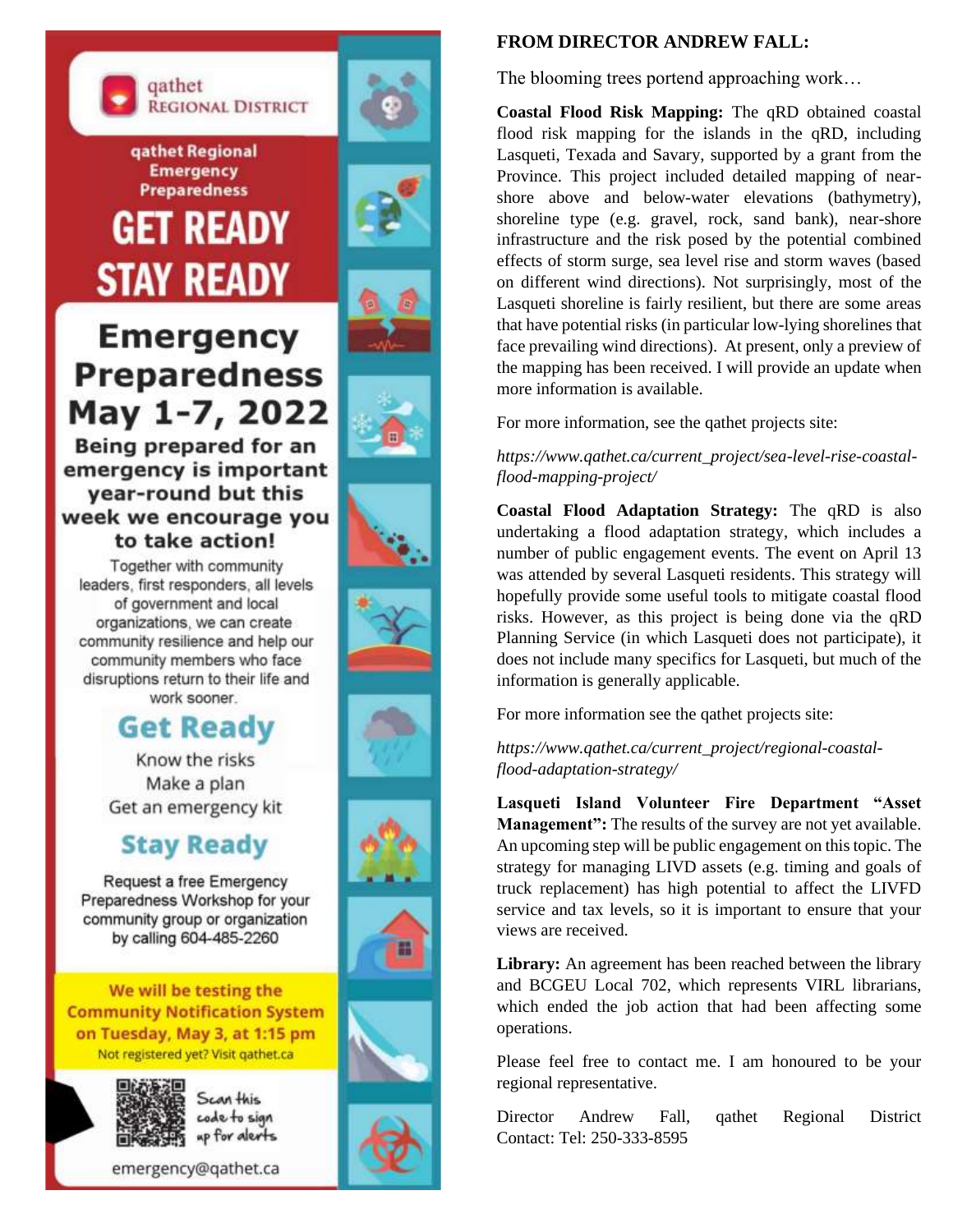

**gathet Regional Emergency Preparedness** 

**GET READY** 

**STAY READY** 







# **Emergency Preparedness** May 1-7, 2022

Being prepared for an emergency is important year-round but this week we encourage you to take action!

Together with community leaders, first responders, all levels of government and local organizations, we can create community resilience and help our community members who face disruptions return to their life and work sooner.

# **Get Ready**

Know the risks Make a plan Get an emergency kit

# **Stay Ready**

Request a free Emergency Preparedness Workshop for your community group or organization by calling 604-485-2260

We will be testing the **Community Notification System** on Tuesday, May 3, at 1:15 pm Not registered yet? Visit gathet.ca



Scan this code to sign up for alerts



### **FROM DIRECTOR ANDREW FALL:**

The blooming trees portend approaching work…

**Coastal Flood Risk Mapping:** The qRD obtained coastal flood risk mapping for the islands in the qRD, including Lasqueti, Texada and Savary, supported by a grant from the Province. This project included detailed mapping of nearshore above and below-water elevations (bathymetry), shoreline type (e.g. gravel, rock, sand bank), near-shore infrastructure and the risk posed by the potential combined effects of storm surge, sea level rise and storm waves (based on different wind directions). Not surprisingly, most of the Lasqueti shoreline is fairly resilient, but there are some areas that have potential risks (in particular low-lying shorelines that face prevailing wind directions). At present, only a preview of the mapping has been received. I will provide an update when more information is available.

For more information, see the qathet projects site:

*https://www.qathet.ca/current\_project/sea-level-rise-coastalflood-mapping-project/*

**Coastal Flood Adaptation Strategy:** The qRD is also undertaking a flood adaptation strategy, which includes a number of public engagement events. The event on April 13 was attended by several Lasqueti residents. This strategy will hopefully provide some useful tools to mitigate coastal flood risks. However, as this project is being done via the qRD Planning Service (in which Lasqueti does not participate), it does not include many specifics for Lasqueti, but much of the information is generally applicable.

For more information see the qathet projects site:

*https://www.qathet.ca/current\_project/regional-coastalflood-adaptation-strategy/*

**Lasqueti Island Volunteer Fire Department "Asset Management":** The results of the survey are not yet available. An upcoming step will be public engagement on this topic. The strategy for managing LIVD assets (e.g. timing and goals of truck replacement) has high potential to affect the LIVFD service and tax levels, so it is important to ensure that your views are received.

**Library:** An agreement has been reached between the library and BCGEU Local 702, which represents VIRL librarians, which ended the job action that had been affecting some operations.

Please feel free to contact me. I am honoured to be your regional representative.

Director Andrew Fall, qathet Regional District Contact: Tel: 250-333-8595











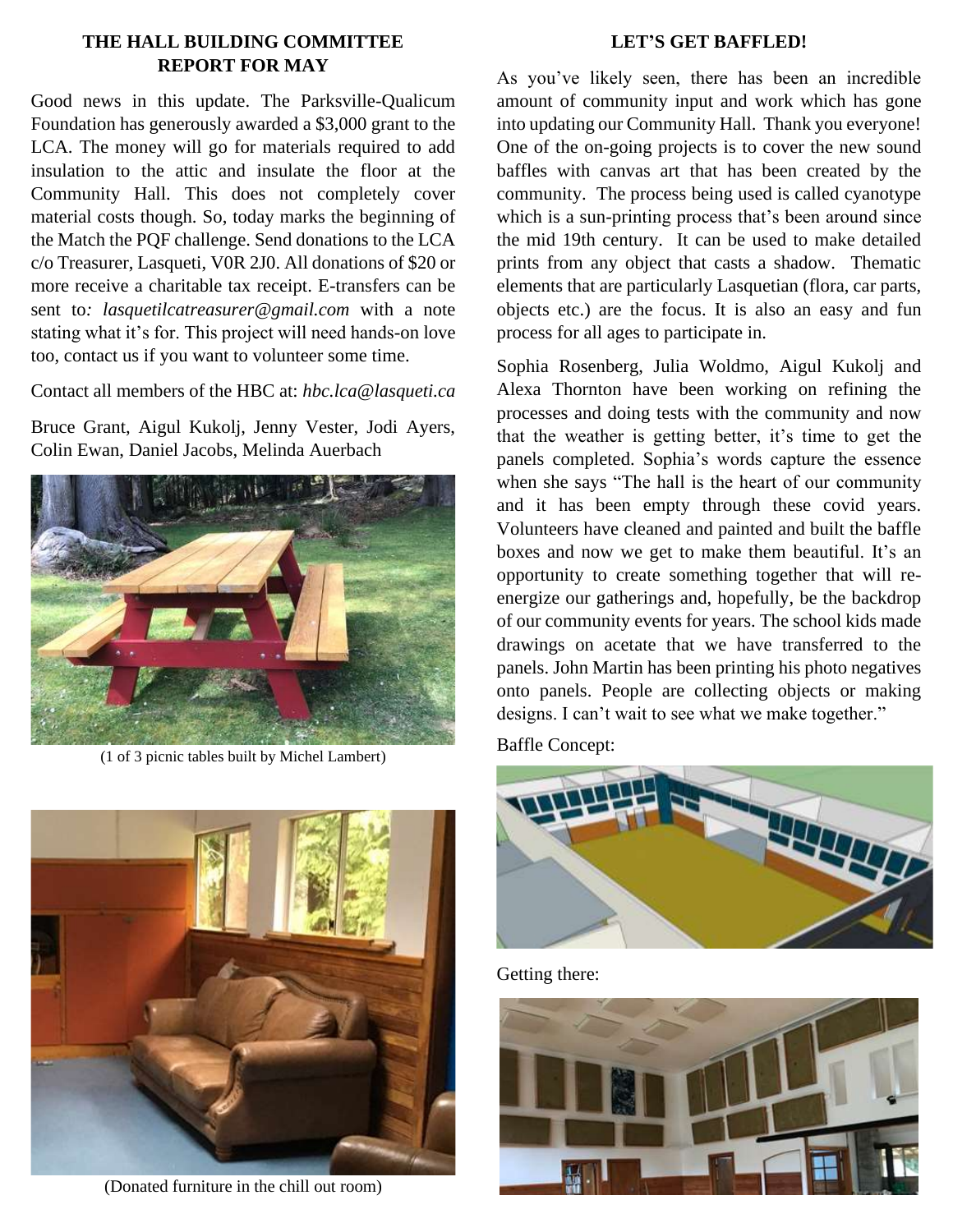#### **THE HALL BUILDING COMMITTEE REPORT FOR MAY**

Good news in this update. The Parksville-Qualicum Foundation has generously awarded a \$3,000 grant to the LCA. The money will go for materials required to add insulation to the attic and insulate the floor at the Community Hall. This does not completely cover material costs though. So, today marks the beginning of the Match the PQF challenge. Send donations to the LCA c/o Treasurer, Lasqueti, V0R 2J0. All donations of \$20 or more receive a charitable tax receipt. E-transfers can be sent to*: lasquetilcatreasurer@gmail.com* with a note stating what it's for. This project will need hands-on love too, contact us if you want to volunteer some time.

Contact all members of the HBC at: *hbc.lca@lasqueti.ca*

Bruce Grant, Aigul Kukolj, Jenny Vester, Jodi Ayers, Colin Ewan, Daniel Jacobs, Melinda Auerbach



(1 of 3 picnic tables built by Michel Lambert)



(Donated furniture in the chill out room)

#### **LET'S GET BAFFLED!**

As you've likely seen, there has been an incredible amount of community input and work which has gone into updating our Community Hall. Thank you everyone! One of the on-going projects is to cover the new sound baffles with canvas art that has been created by the community. The process being used is called cyanotype which is a sun-printing process that's been around since the mid 19th century. It can be used to make detailed prints from any object that casts a shadow. Thematic elements that are particularly Lasquetian (flora, car parts, objects etc.) are the focus. It is also an easy and fun process for all ages to participate in.

Sophia Rosenberg, Julia Woldmo, Aigul Kukolj and Alexa Thornton have been working on refining the processes and doing tests with the community and now that the weather is getting better, it's time to get the panels completed. Sophia's words capture the essence when she says "The hall is the heart of our community and it has been empty through these covid years. Volunteers have cleaned and painted and built the baffle boxes and now we get to make them beautiful. It's an opportunity to create something together that will reenergize our gatherings and, hopefully, be the backdrop of our community events for years. The school kids made drawings on acetate that we have transferred to the panels. John Martin has been printing his photo negatives onto panels. People are collecting objects or making designs. I can't wait to see what we make together."

Baffle Concept:



Getting there:

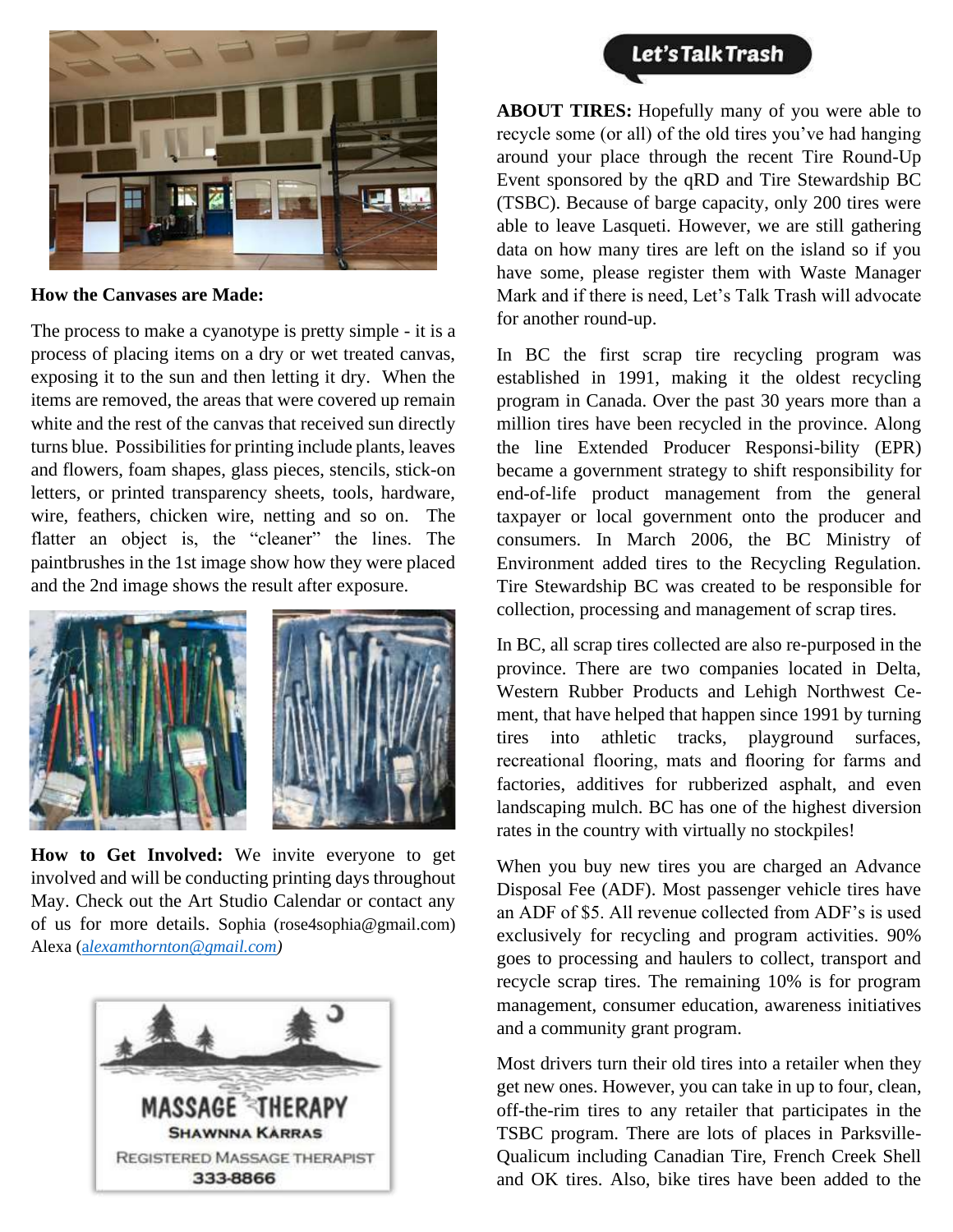

**How the Canvases are Made:**

The process to make a cyanotype is pretty simple - it is a process of placing items on a dry or wet treated canvas, exposing it to the sun and then letting it dry. When the items are removed, the areas that were covered up remain white and the rest of the canvas that received sun directly turns blue. Possibilities for printing include plants, leaves and flowers, foam shapes, glass pieces, stencils, stick-on letters, or printed transparency sheets, tools, hardware, wire, feathers, chicken wire, netting and so on. The flatter an object is, the "cleaner" the lines. The paintbrushes in the 1st image show how they were placed and the 2nd image shows the result after exposure.



**How to Get Involved:** We invite everyone to get involved and will be conducting printing days throughout May. Check out the Art Studio Calendar or contact any of us for more details. Sophia (rose4sophia@gmail.com) Alexa (a*[lexamthornton@gmail.com\)](mailto:alexamthornton@gmail.com)*



**ABOUT TIRES:** Hopefully many of you were able to recycle some (or all) of the old tires you've had hanging around your place through the recent Tire Round-Up Event sponsored by the qRD and Tire Stewardship BC (TSBC). Because of barge capacity, only 200 tires were able to leave Lasqueti. However, we are still gathering data on how many tires are left on the island so if you have some, please register them with Waste Manager Mark and if there is need, Let's Talk Trash will advocate for another round-up.

In BC the first scrap tire recycling program was established in 1991, making it the oldest recycling program in Canada. Over the past 30 years more than a million tires have been recycled in the province. Along the line Extended Producer Responsi-bility (EPR) became a government strategy to shift responsibility for end-of-life product management from the general taxpayer or local government onto the producer and consumers. In March 2006, the BC Ministry of Environment added tires to the Recycling Regulation. Tire Stewardship BC was created to be responsible for collection, processing and management of scrap tires.

In BC, all scrap tires collected are also re-purposed in the province. There are two companies located in Delta, Western Rubber Products and Lehigh Northwest Cement, that have helped that happen since 1991 by turning tires into athletic tracks, playground surfaces, recreational flooring, mats and flooring for farms and factories, additives for rubberized asphalt, and even landscaping mulch. BC has one of the highest diversion rates in the country with virtually no stockpiles!

When you buy new tires you are charged an Advance Disposal Fee (ADF). Most passenger vehicle tires have an ADF of \$5. All revenue collected from ADF's is used exclusively for recycling and program activities. 90% goes to processing and haulers to collect, transport and recycle scrap tires. The remaining 10% is for program management, consumer education, awareness initiatives and a community grant program.

Most drivers turn their old tires into a retailer when they get new ones. However, you can take in up to four, clean, off-the-rim tires to any retailer that participates in the TSBC program. There are lots of places in Parksville-Qualicum including Canadian Tire, French Creek Shell and OK tires. Also, bike tires have been added to the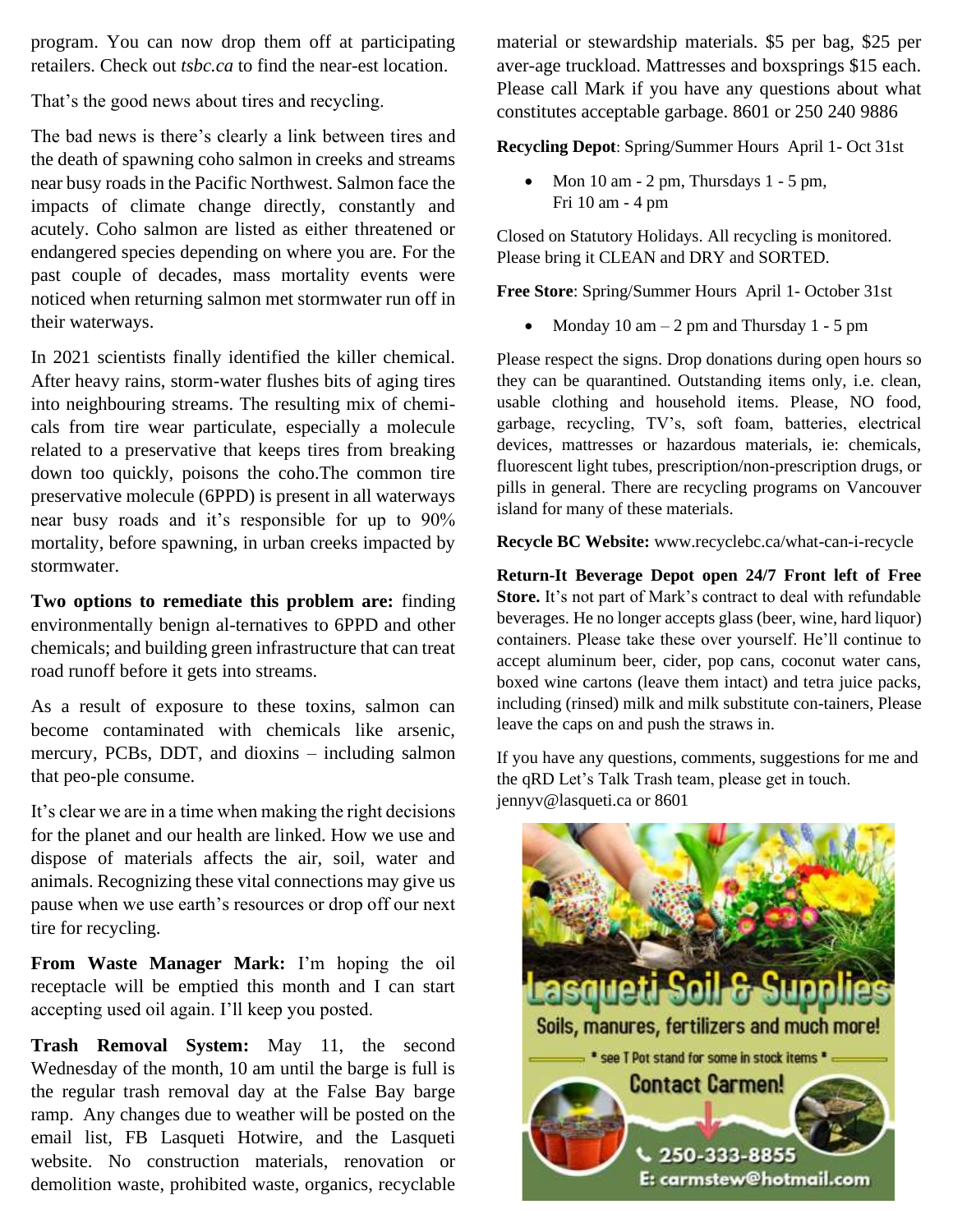program. You can now drop them off at participating retailers. Check out *tsbc.ca* to find the near-est location.

That's the good news about tires and recycling.

The bad news is there's clearly a link between tires and the death of spawning coho salmon in creeks and streams near busy roads in the Pacific Northwest. Salmon face the impacts of climate change directly, constantly and acutely. Coho salmon are listed as either threatened or endangered species depending on where you are. For the past couple of decades, mass mortality events were noticed when returning salmon met stormwater run off in their waterways.

In 2021 scientists finally identified the killer chemical. After heavy rains, storm-water flushes bits of aging tires into neighbouring streams. The resulting mix of chemicals from tire wear particulate, especially a molecule related to a preservative that keeps tires from breaking down too quickly, poisons the coho.The common tire preservative molecule (6PPD) is present in all waterways near busy roads and it's responsible for up to 90% mortality, before spawning, in urban creeks impacted by stormwater.

**Two options to remediate this problem are:** finding environmentally benign al-ternatives to 6PPD and other chemicals; and building green infrastructure that can treat road runoff before it gets into streams.

As a result of exposure to these toxins, salmon can become contaminated with chemicals like arsenic, mercury, PCBs, DDT, and dioxins – including salmon that peo-ple consume.

It's clear we are in a time when making the right decisions for the planet and our health are linked. How we use and dispose of materials affects the air, soil, water and animals. Recognizing these vital connections may give us pause when we use earth's resources or drop off our next tire for recycling.

**From Waste Manager Mark:** I'm hoping the oil receptacle will be emptied this month and I can start accepting used oil again. I'll keep you posted.

**Trash Removal System:** May 11, the second Wednesday of the month, 10 am until the barge is full is the regular trash removal day at the False Bay barge ramp. Any changes due to weather will be posted on the email list, FB Lasqueti Hotwire, and the Lasqueti website. No construction materials, renovation or demolition waste, prohibited waste, organics, recyclable

material or stewardship materials. \$5 per bag, \$25 per aver-age truckload. Mattresses and boxsprings \$15 each. Please call Mark if you have any questions about what constitutes acceptable garbage. 8601 or 250 240 9886

**Recycling Depot**: Spring/Summer Hours April 1- Oct 31st

Mon  $10 \text{ am} - 2 \text{ pm}$ , Thursdays  $1 - 5 \text{ pm}$ , Fri 10 am - 4 pm

Closed on Statutory Holidays. All recycling is monitored. Please bring it CLEAN and DRY and SORTED.

**Free Store**: Spring/Summer Hours April 1- October 31st

Monday 10 am  $-2$  pm and Thursday 1 - 5 pm

Please respect the signs. Drop donations during open hours so they can be quarantined. Outstanding items only, i.e. clean, usable clothing and household items. Please, NO food, garbage, recycling, TV's, soft foam, batteries, electrical devices, mattresses or hazardous materials, ie: chemicals, fluorescent light tubes, prescription/non-prescription drugs, or pills in general. There are recycling programs on Vancouver island for many of these materials.

**Recycle BC Website:** www.recyclebc.ca/what-can-i-recycle

**Return-It Beverage Depot open 24/7 Front left of Free Store.** It's not part of Mark's contract to deal with refundable beverages. He no longer accepts glass (beer, wine, hard liquor) containers. Please take these over yourself. He'll continue to accept aluminum beer, cider, pop cans, coconut water cans, boxed wine cartons (leave them intact) and tetra juice packs, including (rinsed) milk and milk substitute con-tainers, Please leave the caps on and push the straws in.

If you have any questions, comments, suggestions for me and the qRD Let's Talk Trash team, please get in touch. jennyv@lasqueti.ca or 8601

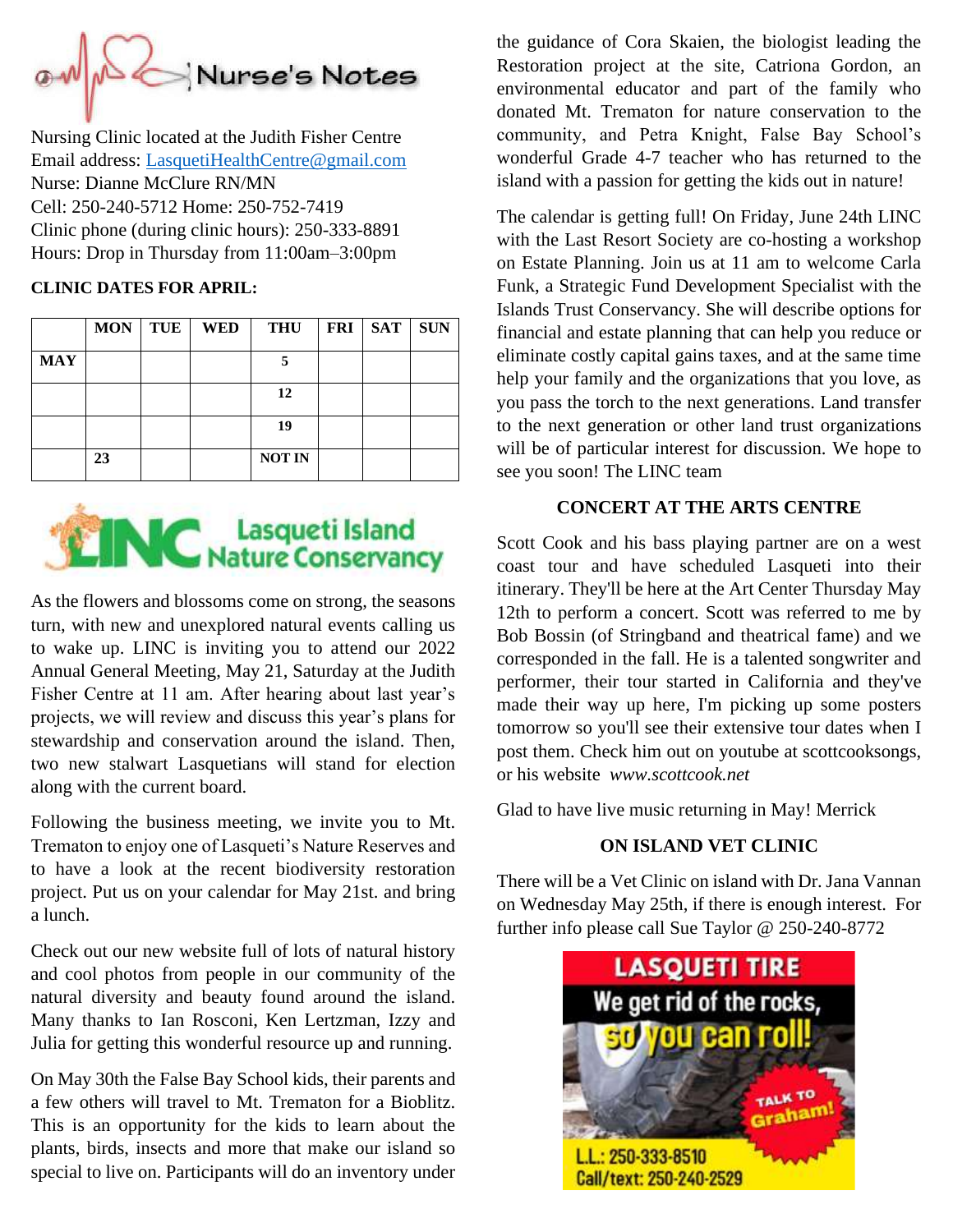

Nursing Clinic located at the Judith Fisher Centre Email address: [LasquetiHealthCentre@gmail.com](mailto:LasquetiHealthCentre@gmail.com) Nurse: Dianne McClure RN/MN Cell: 250-240-5712 Home: 250-752-7419 Clinic phone (during clinic hours): 250-333-8891 Hours: Drop in Thursday from 11:00am–3:00pm

#### **CLINIC DATES FOR APRIL:**

|            | <b>MON</b> | TUE | <b>WED</b> | <b>THU</b>    | <b>FRI</b> | <b>SAT</b> | <b>SUN</b> |
|------------|------------|-----|------------|---------------|------------|------------|------------|
| <b>MAY</b> |            |     |            |               |            |            |            |
|            |            |     |            | 12            |            |            |            |
|            |            |     |            | 19            |            |            |            |
|            | 23         |     |            | <b>NOT IN</b> |            |            |            |

# **EINC** Lasqueti Island

As the flowers and blossoms come on strong, the seasons turn, with new and unexplored natural events calling us to wake up. LINC is inviting you to attend our 2022 Annual General Meeting, May 21, Saturday at the Judith Fisher Centre at 11 am. After hearing about last year's projects, we will review and discuss this year's plans for stewardship and conservation around the island. Then, two new stalwart Lasquetians will stand for election along with the current board.

Following the business meeting, we invite you to Mt. Trematon to enjoy one of Lasqueti's Nature Reserves and to have a look at the recent biodiversity restoration project. Put us on your calendar for May 21st. and bring a lunch.

Check out our new website full of lots of natural history and cool photos from people in our community of the natural diversity and beauty found around the island. Many thanks to Ian Rosconi, Ken Lertzman, Izzy and Julia for getting this wonderful resource up and running.

On May 30th the False Bay School kids, their parents and a few others will travel to Mt. Trematon for a Bioblitz. This is an opportunity for the kids to learn about the plants, birds, insects and more that make our island so special to live on. Participants will do an inventory under the guidance of Cora Skaien, the biologist leading the Restoration project at the site, Catriona Gordon, an environmental educator and part of the family who donated Mt. Trematon for nature conservation to the community, and Petra Knight, False Bay School's wonderful Grade 4-7 teacher who has returned to the island with a passion for getting the kids out in nature!

The calendar is getting full! On Friday, June 24th LINC with the Last Resort Society are co-hosting a workshop on Estate Planning. Join us at 11 am to welcome Carla Funk, a Strategic Fund Development Specialist with the Islands Trust Conservancy. She will describe options for financial and estate planning that can help you reduce or eliminate costly capital gains taxes, and at the same time help your family and the organizations that you love, as you pass the torch to the next generations. Land transfer to the next generation or other land trust organizations will be of particular interest for discussion. We hope to see you soon! The LINC team

#### **CONCERT AT THE ARTS CENTRE**

Scott Cook and his bass playing partner are on a west coast tour and have scheduled Lasqueti into their itinerary. They'll be here at the Art Center Thursday May 12th to perform a concert. Scott was referred to me by Bob Bossin (of Stringband and theatrical fame) and we corresponded in the fall. He is a talented songwriter and performer, their tour started in California and they've made their way up here, I'm picking up some posters tomorrow so you'll see their extensive tour dates when I post them. Check him out on youtube at scottcooksongs, or his website *www.scottcook.net*

Glad to have live music returning in May! Merrick

## **ON ISLAND VET CLINIC**

There will be a Vet Clinic on island with Dr. Jana Vannan on Wednesday May 25th, if there is enough interest. For further info please call Sue Taylor @ 250-240-8772

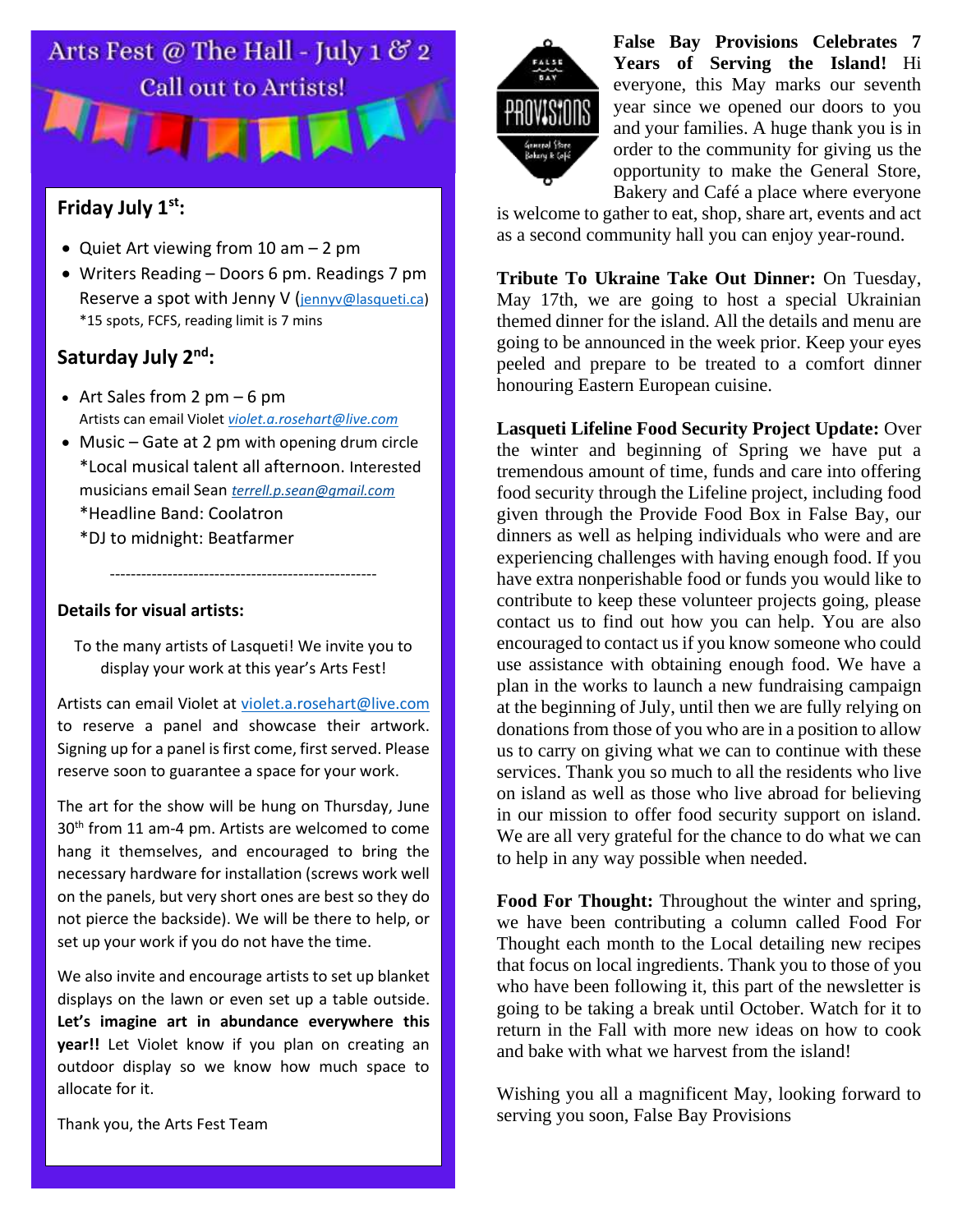

## **Friday July 1st:**

- Quiet Art viewing from 10 am 2 pm
- Writers Reading Doors 6 pm. Readings 7 pm Reserve a spot with Jenny V ([jennyv@lasqueti.ca\)](mailto:jennyv@lasqueti.ca) \*15 spots, FCFS, reading limit is 7 mins

## **Saturday July 2nd:**

- Art Sales from 2  $pm 6$  pm Artists can email Violet *[violet.a.rosehart@live.com](mailto:violet.a.rosehart@live.com)*
- Music Gate at 2 pm with opening drum circle \*Local musical talent all afternoon. Interested musicians email Sean *[terrell.p.sean@gmail.com](mailto:terrell.p.sean@gmail.com)* \*Headline Band: Coolatron
	- \*DJ to midnight: Beatfarmer

#### **Details for visual artists:**

To the many artists of Lasqueti! We invite you to display your work at this year's Arts Fest!

---------------------------------------------------

Artists can email Violet at [violet.a.rosehart@live.com](mailto:violet.a.rosehart@live.com) to reserve a panel and showcase their artwork. Signing up for a panel is first come, first served. Please reserve soon to guarantee a space for your work.

The art for the show will be hung on Thursday, June 30<sup>th</sup> from 11 am-4 pm. Artists are welcomed to come hang it themselves, and encouraged to bring the necessary hardware for installation (screws work well on the panels, but very short ones are best so they do not pierce the backside). We will be there to help, or set up your work if you do not have the time.

We also invite and encourage artists to set up blanket displays on the lawn or even set up a table outside. **Let's imagine art in abundance everywhere this year!!** Let Violet know if you plan on creating an outdoor display so we know how much space to allocate for it.

Thank you, the Arts Fest Team



**False Bay Provisions Celebrates 7 Years of Serving the Island!** Hi everyone, this May marks our seventh year since we opened our doors to you and your families. A huge thank you is in order to the community for giving us the opportunity to make the General Store, Bakery and Café a place where everyone

is welcome to gather to eat, shop, share art, events and act as a second community hall you can enjoy year-round.

**Tribute To Ukraine Take Out Dinner:** On Tuesday, May 17th, we are going to host a special Ukrainian themed dinner for the island. All the details and menu are going to be announced in the week prior. Keep your eyes peeled and prepare to be treated to a comfort dinner honouring Eastern European cuisine.

**Lasqueti Lifeline Food Security Project Update:** Over the winter and beginning of Spring we have put a tremendous amount of time, funds and care into offering food security through the Lifeline project, including food given through the Provide Food Box in False Bay, our dinners as well as helping individuals who were and are experiencing challenges with having enough food. If you have extra nonperishable food or funds you would like to contribute to keep these volunteer projects going, please contact us to find out how you can help. You are also encouraged to contact us if you know someone who could use assistance with obtaining enough food. We have a plan in the works to launch a new fundraising campaign at the beginning of July, until then we are fully relying on donations from those of you who are in a position to allow us to carry on giving what we can to continue with these services. Thank you so much to all the residents who live on island as well as those who live abroad for believing in our mission to offer food security support on island. We are all very grateful for the chance to do what we can to help in any way possible when needed.

**Food For Thought:** Throughout the winter and spring, we have been contributing a column called Food For Thought each month to the Local detailing new recipes that focus on local ingredients. Thank you to those of you who have been following it, this part of the newsletter is going to be taking a break until October. Watch for it to return in the Fall with more new ideas on how to cook and bake with what we harvest from the island!

Wishing you all a magnificent May, looking forward to serving you soon, False Bay Provisions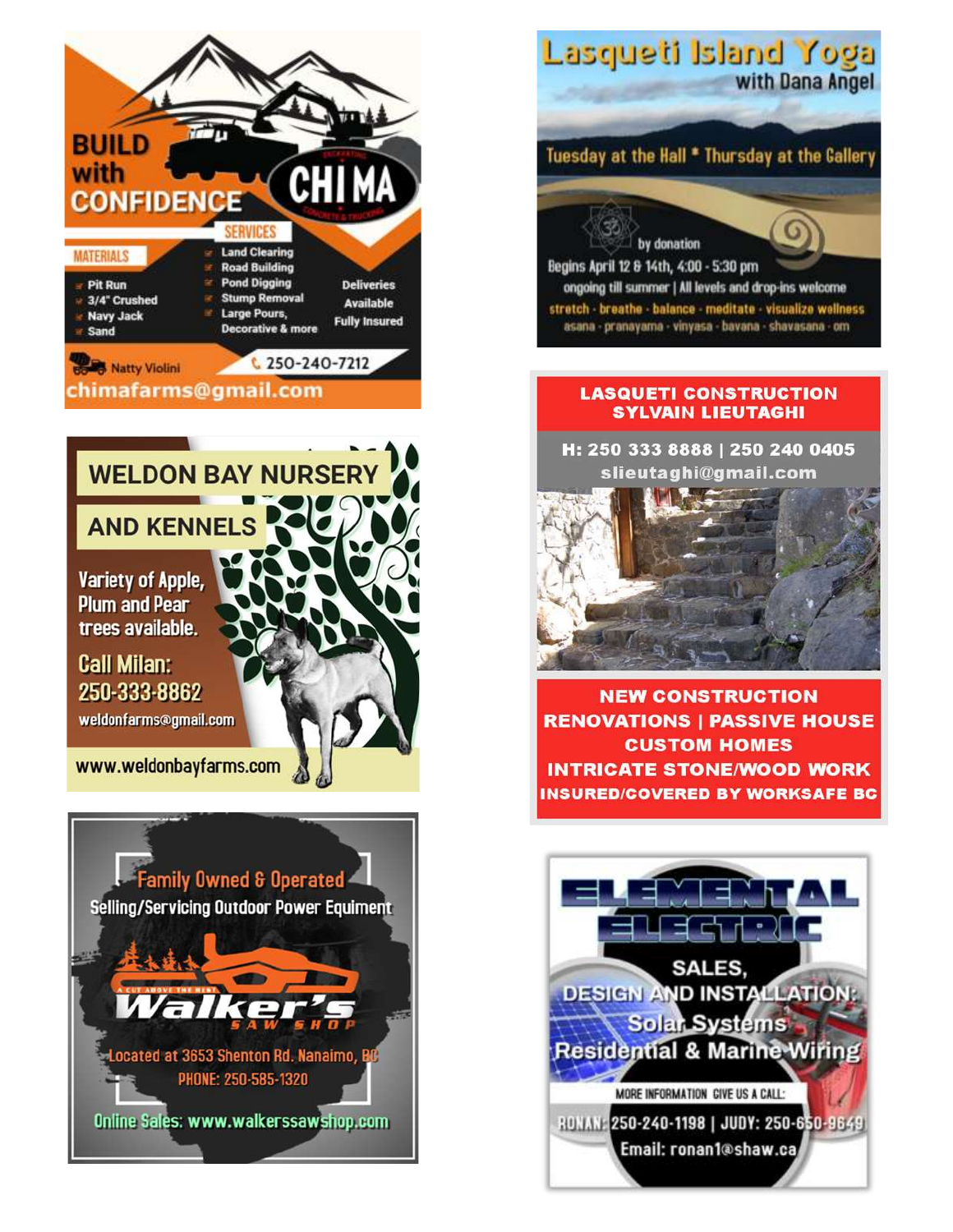







#### **LASQUETI CONSTRUCTION SYLVAIN LIEUTAGHI**

H: 250 333 8888 | 250 240 0405 slieutaghi@gmail.com



**NEW CONSTRUCTION RENOVATIONS | PASSIVE HOUSE CUSTOM HOMES INTRICATE STONE/WOOD WORK** INSURED/COVERED BY WORKSAFE BC